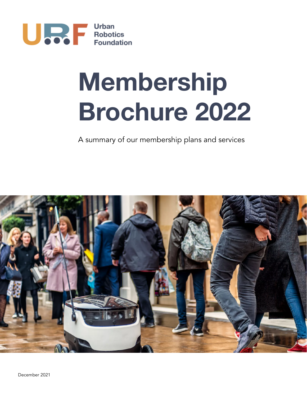

# **Membership Brochure 2022**

A summary of our membership plans and services

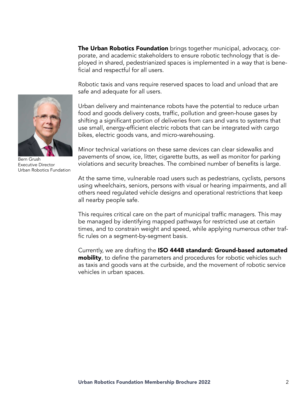The Urban Robotics Foundation brings together municipal, advocacy, corporate, and academic stakeholders to ensure robotic technology that is deployed in shared, pedestrianized spaces is implemented in a way that is beneficial and respectful for all users.

Robotic taxis and vans require reserved spaces to load and unload that are safe and adequate for all users.



Bern Grush Executive Director Urban Robotics Fundation

Urban delivery and maintenance robots have the potential to reduce urban food and goods delivery costs, traffic, pollution and green-house gases by shifting a significant portion of deliveries from cars and vans to systems that use small, energy-efficient electric robots that can be integrated with cargo bikes, electric goods vans, and micro-warehousing.

Minor technical variations on these same devices can clear sidewalks and pavements of snow, ice, litter, cigarette butts, as well as monitor for parking violations and security breaches. The combined number of benefits is large.

At the same time, vulnerable road users such as pedestrians, cyclists, persons using wheelchairs, seniors, persons with visual or hearing impairments, and all others need regulated vehicle designs and operational restrictions that keep all nearby people safe.

This requires critical care on the part of municipal traffic managers. This may be managed by identifying mapped pathways for restricted use at certain times, and to constrain weight and speed, while applying numerous other traffic rules on a segment-by-segment basis.

Currently, we are drafting the ISO 4448 standard: Ground-based automated **mobility**, to define the parameters and procedures for robotic vehicles such as taxis and goods vans at the curbside, and the movement of robotic service vehicles in urban spaces.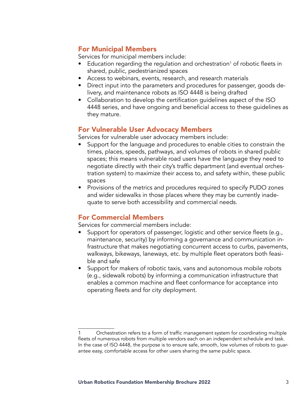#### For Municipal Members

Services for municipal members include:

- $\bullet$  Education regarding the regulation and orchestration<sup>1</sup> of robotic fleets in shared, public, pedestrianized spaces
- Access to webinars, events, research, and research materials
- Direct input into the parameters and procedures for passenger, goods delivery, and maintenance robots as ISO 4448 is being drafted
- Collaboration to develop the certification guidelines aspect of the ISO 4448 series, and have ongoing and beneficial access to these guidelines as they mature.

## For Vulnerable User Advocacy Members

Services for vulnerable user advocacy members include:

- Support for the language and procedures to enable cities to constrain the times, places, speeds, pathways, and volumes of robots in shared public spaces; this means vulnerable road users have the language they need to negotiate directly with their city's traffic department (and eventual orchestration system) to maximize their access to, and safety within, these public spaces
- Provisions of the metrics and procedures required to specify PUDO zones and wider sidewalks in those places where they may be currently inadequate to serve both accessibility and commercial needs.

## For Commercial Members

Services for commercial members include:

- Support for operators of passenger, logistic and other service fleets (e.g., maintenance, security) by informing a governance and communication infrastructure that makes negotiating concurrent access to curbs, pavements, walkways, bikeways, laneways, etc. by multiple fleet operators both feasible and safe
- Support for makers of robotic taxis, vans and autonomous mobile robots (e.g., sidewalk robots) by informing a communication infrastructure that enables a common machine and fleet conformance for acceptance into operating fleets and for city deployment.

<sup>1</sup> Orchestration refers to a form of traffic management system for coordinating multiple fleets of numerous robots from multiple vendors each on an independent schedule and task. In the case of ISO 4448, the purpose is to ensure safe, smooth, low volumes of robots to guarantee easy, comfortable access for other users sharing the same public space.